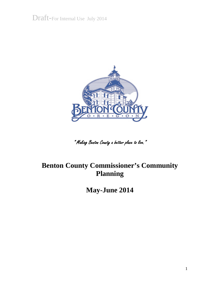Draft-For Internal Use July 2014



" Making Benton County a better place to live."

## **Benton County Commissioner's Community Planning**

**May-June 2014**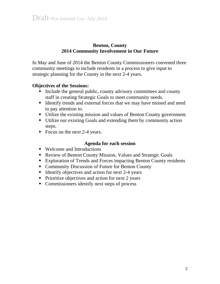#### **Benton, County 2014 Community Involvement in Our Future**

In May and June of 2014 the Benton County Commissioners convened three community meetings to include residents in a process to give input to strategic planning for the County in the next 2-4 years.

#### **Objectives of the Sessions:**

- Include the general public, county advisory committees and county staff in creating Strategic Goals to meet community needs.
- Identify trends and external forces that we may have missed and need to pay attention to.
- Utilize the existing mission and values of Benton County government.
- Utilize our existing Goals and extending them by community action steps.
- Focus on the next 2-4 years.

#### **Agenda for each session**

- Welcome and Introductions
- Review of Benton County Mission, Values and Strategic Goals
- Exploration of Trends and Forces impacting Benton County residents
- Community Discussion of Future for Benton County
- Identify objectives and action for next 2-4 years
- $\blacksquare$  Prioritize objectives and action for next 2 years
- Commissioners identify next steps of process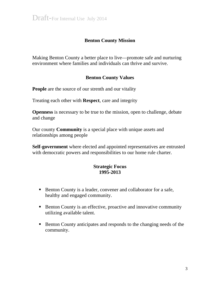#### **Benton County Mission**

Making Benton County a better place to live—promote safe and nurturing environment where families and individuals can thrive and survive.

#### **Benton County Values**

**People** are the source of our strenth and our vitality

Treating each other with **Respect**, care and integrity

**Openness** is necessary to be true to the mission, open to challenge, debate and change

Our county **Community** is a special place with unique assets and relationships among people

**Self-government** where elected and appointed representatives are entrusted with democratic powers and responsibilities to our home rule charter.

#### **Strategic Focus 1995-2013**

- Benton County is a leader, convener and collaborator for a safe, healthy and engaged community.
- Benton County is an effective, proactive and innovative community utilizing available talent.
- Benton County anticipates and responds to the changing needs of the community.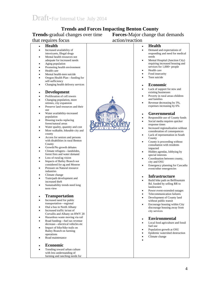### **Trends and Forces Impacting Benton County**

**Trends-**gradual changes over time **Forces-**Major change that demands

| that requires focus                                                                                                                                                                                                                                                                                                                                                                                                                                                                                                                                                                                                                                                                                                                                                                                                                                                                                                                                                                                                                                                                                                                                                                                                                                                                                                                                                                                                                                                                                                                                                                                                                                                                                                                                                                                                                                                                                                                                                             | action/reaction       |                                                                                                                                                                                                                                                                                                                                                                                                                                                                                                                                                                                                                                                                                                                                                                                                                                                                                                                                                                                                                                                                                                                                                                                                                                                                                                                                                                                                                                                                                                                                                                                                                                                                                                                                 |
|---------------------------------------------------------------------------------------------------------------------------------------------------------------------------------------------------------------------------------------------------------------------------------------------------------------------------------------------------------------------------------------------------------------------------------------------------------------------------------------------------------------------------------------------------------------------------------------------------------------------------------------------------------------------------------------------------------------------------------------------------------------------------------------------------------------------------------------------------------------------------------------------------------------------------------------------------------------------------------------------------------------------------------------------------------------------------------------------------------------------------------------------------------------------------------------------------------------------------------------------------------------------------------------------------------------------------------------------------------------------------------------------------------------------------------------------------------------------------------------------------------------------------------------------------------------------------------------------------------------------------------------------------------------------------------------------------------------------------------------------------------------------------------------------------------------------------------------------------------------------------------------------------------------------------------------------------------------------------------|-----------------------|---------------------------------------------------------------------------------------------------------------------------------------------------------------------------------------------------------------------------------------------------------------------------------------------------------------------------------------------------------------------------------------------------------------------------------------------------------------------------------------------------------------------------------------------------------------------------------------------------------------------------------------------------------------------------------------------------------------------------------------------------------------------------------------------------------------------------------------------------------------------------------------------------------------------------------------------------------------------------------------------------------------------------------------------------------------------------------------------------------------------------------------------------------------------------------------------------------------------------------------------------------------------------------------------------------------------------------------------------------------------------------------------------------------------------------------------------------------------------------------------------------------------------------------------------------------------------------------------------------------------------------------------------------------------------------------------------------------------------------|
| <b>Health</b><br>$\bullet$<br>Increased availability of<br>$\bullet$<br>intoxicants, Illegal drugs<br>Mental health resources not<br>$\bullet$<br>adequate for increased needs<br>Aging population<br>$\bullet$<br>Promoting health environment<br>$\bullet$<br>Health care<br>$\bullet$<br>Mental health-teen suicide<br>$\bullet$<br>Oregon Health Plan-funding for<br>$\bullet$<br>self-sufficiency<br>Changing health delivery services<br>$\bullet$<br><b>Development</b><br>$\bullet$<br>Proliferation of cell towers<br>٠<br>Changing population, more<br>$\bullet$<br>retirees, city expansion<br>Preserve land resources and their<br>$\bullet$<br>use<br>Water availability-increased<br>$\bullet$<br>population<br>Housing tracks replacing<br>$\bullet$<br>forest/natural areas<br>Water quality, quantity and cost<br>$\bullet$<br>More walkable, bikeable city and<br>٠<br>county<br>Access for seniors and persons<br>$\bullet$<br>with disabilities in rural Benton<br>County<br>Growth/No growth debates<br>$\bullet$<br>Climate refugees—landslides,<br>$\bullet$<br>forest fires and water demand<br>Loss of rural/ag vision<br>$\bullet$<br>Impacts of Bailey Branch not<br>$\bullet$<br>considered for ag and Monroe<br>Pressure on Natural resource<br>$\bullet$<br>industries<br>Climate change<br>٠<br>Train/path development and<br>$\bullet$<br>increased theft<br>Sustainability trends need long<br>$\bullet$<br>term view<br><b>Transportation</b><br>Increased need for public<br>$\bullet$<br>transportation-regional<br>Dial a bus in North Albany<br>$\bullet$<br>Increased traffic in/out of<br>$\bullet$<br>Corvallis and Albany on HWY 20<br>Hazardous waste moving via rail<br>$\bullet$<br>Road funding-fuel tax revenue<br>$\bullet$<br>decrease—electrical vehicles etc<br>Impact of bike/hike trails on<br>$\bullet$<br>Bailey Branch on farming<br>operations<br>Road maintenance<br><b>Economic</b><br>Trending toward urban culture | Е<br>$G \cdot O$<br>٠ | <b>Health</b><br>$\bullet$<br>Demand and expectations of<br>$\bullet$<br>responding and need for medical<br>needs<br>Mental Hospital (Junction City)<br>$\bullet$<br>requiring increased housing and<br>services for 1,000+ people<br>Health care<br>$\bullet$<br>Food insecurity<br>$\bullet$<br>Teen suicide<br>$\bullet$<br><b>Economic</b><br>$\bullet$<br>Lack of support for new and<br>$\bullet$<br>existing businesses<br>Poverty in rural areas-children<br>$\bullet$<br>and families<br>Revenue decreasing by 3%,<br>$\bullet$<br>expenses increasing by 6%<br>Governmental<br>$\bullet$<br>Responsible use of County funds<br>$\bullet$<br>Social media requires quicker<br>٠<br>response times<br>Increased regionalization without<br>$\bullet$<br>consideration of consequences<br>Lack of representation in South<br>$\bullet$<br>County<br>County is proceeding without<br>$\bullet$<br>consultation with residents<br>impacted<br>Hidden agendas, lobbying by<br>$\bullet$<br>special interests<br>Coordination between county,<br>$\bullet$<br>city and OSU<br>Emergency planning for Cascadia<br>٠<br>event/other emergencies<br><b>Infrastructure</b><br>$\bullet$<br>Build bike path on Bellfountain<br>$\bullet$<br>Rd. funded by selling RR to<br>landowners<br>Power event-extended outages<br>٠<br>Telecommunication failures<br>Development of County land<br>٠<br>without public transit<br>Encourage housing within City<br>$\bullet$<br>discourage housing away from<br>city services<br><b>Environmental</b><br>$\bullet$<br>Local food agriculture and fossil<br>$\bullet$<br>fuel use<br>Population growth at OSU<br>$\bullet$<br>Epidemic watershed destruction<br>Climate change<br>$\bullet$ |
| with less understanding of<br>farming and ranching needs for                                                                                                                                                                                                                                                                                                                                                                                                                                                                                                                                                                                                                                                                                                                                                                                                                                                                                                                                                                                                                                                                                                                                                                                                                                                                                                                                                                                                                                                                                                                                                                                                                                                                                                                                                                                                                                                                                                                    |                       |                                                                                                                                                                                                                                                                                                                                                                                                                                                                                                                                                                                                                                                                                                                                                                                                                                                                                                                                                                                                                                                                                                                                                                                                                                                                                                                                                                                                                                                                                                                                                                                                                                                                                                                                 |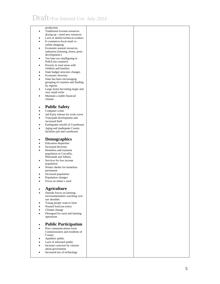# Draft-For Internal Use July 2014

|           | production                         |  |
|-----------|------------------------------------|--|
| ٠         | Traditional revenue resources      |  |
|           |                                    |  |
|           | drying up-need new resources       |  |
| ٠         | Lack of skilled technical workers  |  |
| ٠         | E-commerce-local retail vs.        |  |
|           | online shopping                    |  |
|           |                                    |  |
| ٠         | Economic-natural resources,        |  |
|           | industries (farming, forest, ports |  |
|           | development.)                      |  |
| ٠         | Tax base too small(going to        |  |
|           | Polk/Linn counties)                |  |
|           |                                    |  |
| ٠         | Poverty in rural areas with        |  |
|           | children and families              |  |
| ٠         | State budget structure changes     |  |
| $\bullet$ | Economic diversity                 |  |
|           |                                    |  |
| $\bullet$ | State has been encouraging         |  |
|           | grouping of counties and funding   |  |
|           | by regions                         |  |
| ٠         | Large farms becoming larger and    |  |
|           | very small niche                   |  |
|           |                                    |  |
| $\bullet$ | Maintain a stable financial        |  |
|           | climate                            |  |
|           |                                    |  |
|           |                                    |  |
| $\bullet$ | <b>Public Safety</b>               |  |
| $\bullet$ | Computer crime                     |  |
| ٠         | Jail-Early release for work crews  |  |
|           |                                    |  |
| $\bullet$ | Train/path development and         |  |
|           | increased theft                    |  |
| ٠         | Earthquake retrofit of Courthouse  |  |
| $\bullet$ | Aging and inadequate County        |  |
|           |                                    |  |
|           | facilities-jail and courthouse     |  |
|           |                                    |  |
|           | <b>Demographics</b>                |  |
| ٠         |                                    |  |
| ٠         | <b>Education disparities</b>       |  |
| ٠         | Increased diversity                |  |
|           | Homeless and transient             |  |
| $\bullet$ |                                    |  |
|           | population in Corvallis,           |  |
|           | Philomath and Albany               |  |
| ٠         | Services for low income            |  |
|           | population                         |  |
|           |                                    |  |
| ٠         | Winter shelter for homeless-       |  |
|           | permanent                          |  |
| ٠         | Increased population               |  |
| $\bullet$ | Population changes                 |  |
|           |                                    |  |
| ٠         | Focus on urban v rural             |  |
|           |                                    |  |
|           | <b>Agriculture</b>                 |  |
| ٠         |                                    |  |
|           | Outside forces on farming-         |  |
|           | environmentalists watching over    |  |
|           | our shoulder                       |  |
|           |                                    |  |
| ٠         | Young people want to farm          |  |
| ٠         | Wasted food (on trees)             |  |
| $\bullet$ | Climate change                     |  |
| ٠         | Disregard for rural and farming    |  |
|           |                                    |  |
|           | operations                         |  |
|           |                                    |  |
| $\bullet$ | <b>Public Participation</b>        |  |
|           |                                    |  |
| ٠         | Poor communications from           |  |
|           | Commissioners and residents of     |  |
|           | County                             |  |
|           |                                    |  |
| ٠         | Apathetic public                   |  |
| $\bullet$ | Lack of informed public            |  |
| ٠         | Increase cynicism by citizens      |  |
|           | about government                   |  |
|           |                                    |  |
| ٠         | Increased use of technology        |  |
|           |                                    |  |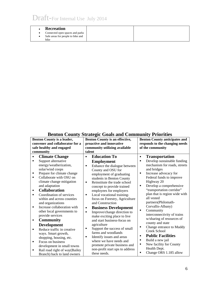| <b>Recreation</b>                 |  |
|-----------------------------------|--|
| Connected open spaces and parks   |  |
| Safe areas for people to bike and |  |
| hike                              |  |

#### **Benton County Strategic Goals and Community Priorities**

| Benton County is a leader,<br>convener and collaborator for a<br>safe healthy and engaged                                                                                                                                                                                                                                                                                                                                                                                                                                                                                                                                                       | Benton County is an effective,<br>proactive and innovative<br>community utilizing available                                                                                                                                                                                                                                                                                                                                                                                                                                                                                                                                                                                | <b>Benton County anticipates and</b><br>responds to the changing needs<br>of the community                                                                                                                                                                                                                                                                                                                                                                                                                                                                      |
|-------------------------------------------------------------------------------------------------------------------------------------------------------------------------------------------------------------------------------------------------------------------------------------------------------------------------------------------------------------------------------------------------------------------------------------------------------------------------------------------------------------------------------------------------------------------------------------------------------------------------------------------------|----------------------------------------------------------------------------------------------------------------------------------------------------------------------------------------------------------------------------------------------------------------------------------------------------------------------------------------------------------------------------------------------------------------------------------------------------------------------------------------------------------------------------------------------------------------------------------------------------------------------------------------------------------------------------|-----------------------------------------------------------------------------------------------------------------------------------------------------------------------------------------------------------------------------------------------------------------------------------------------------------------------------------------------------------------------------------------------------------------------------------------------------------------------------------------------------------------------------------------------------------------|
|                                                                                                                                                                                                                                                                                                                                                                                                                                                                                                                                                                                                                                                 |                                                                                                                                                                                                                                                                                                                                                                                                                                                                                                                                                                                                                                                                            |                                                                                                                                                                                                                                                                                                                                                                                                                                                                                                                                                                 |
| community<br><b>Climate Change</b><br>٠<br>Support alternative<br>п<br>energy/weatherization,<br>solar/wind coops<br>Prepare for climate change<br>٠<br>Collaborate with OSU on<br>٠<br>climate change mitigation<br>and adaptation<br><b>Collaboration</b><br>٠<br>Coordination of services<br>$\blacksquare$<br>within and across counties<br>and organizations<br>Increase collaboration with<br>$\blacksquare$<br>other local governments to<br>provide services<br><b>Community</b><br>٠<br><b>Development</b><br>Reduce traffic in creative<br>$\blacksquare$<br>ways. Smart growth,<br>shopping, housing, etc.<br>Focus on business<br>٠ | talent<br><b>Education To</b><br>$\blacksquare$<br><b>Employment</b><br>Enhance the dialogue between<br>٠<br>County and OSU for<br>employment of graduating<br>students in Benton County<br>Reinstitute the trade school<br>٠<br>concept to provide trained<br>employees for employers<br>Local vocational training-<br>٠<br>focus on Forestry, Agriculture<br>and Construction<br><b>Business Development</b><br>٠<br>Improve/change direction to<br>$\blacksquare$<br>make exciting place to live<br>and start business-focus on<br>agriculture<br>Support the success of small<br>٠<br>farms and woodlands<br>Identify issues and areas<br>٠<br>where we have needs and | <b>Transportation</b><br>٠<br>Develop sustainable funding<br>٠<br>mechanism for roads, streets<br>and bridges<br>Increase advocacy for<br>٠<br>Federal funds to improve<br>Highway 20<br>Develop a comprehensive<br>٠<br>"transportation corridor"<br>plan that is region wide with<br>all vested<br>partners(Philomath-<br>Corvallis-Albany)<br>Community<br>٠<br>interconnectivity of trains<br>w/sharing of resources of<br>county and state<br>Change entrance to Muddy<br>٠<br>Creek School<br><b>Public Facilities</b><br>٠<br>Build a new jail<br>٠<br>٠ |
| development in small towns<br>Rail road right of way(Bailey<br>٠<br>Branch) back to land owners                                                                                                                                                                                                                                                                                                                                                                                                                                                                                                                                                 | promote private business and<br>non-profit start ups to address<br>these needs.                                                                                                                                                                                                                                                                                                                                                                                                                                                                                                                                                                                            | New facility for County<br>Health Dept.<br>Change ORS 1.185 allow<br>٠                                                                                                                                                                                                                                                                                                                                                                                                                                                                                          |